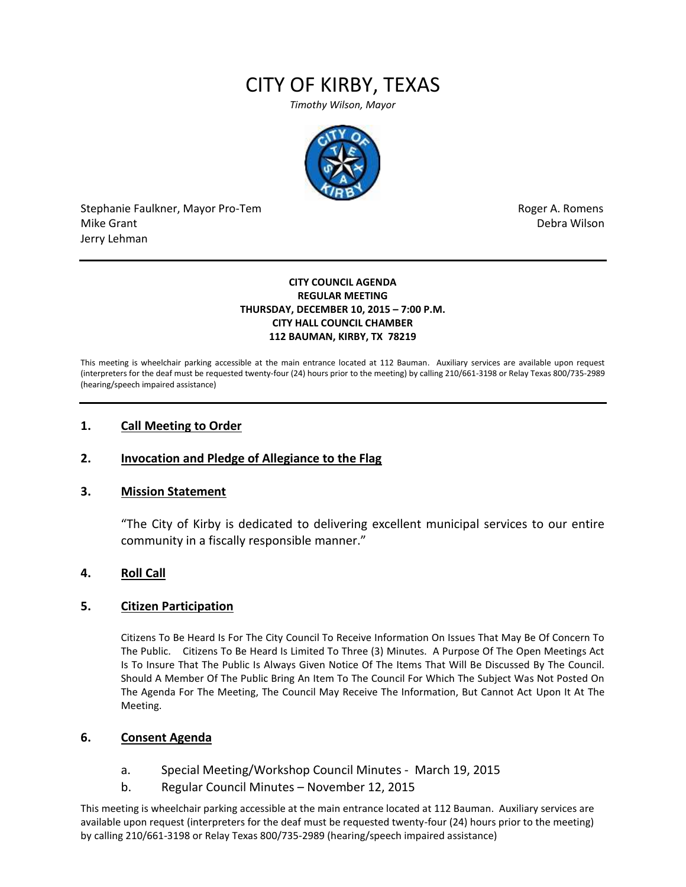# CITY OF KIRBY, TEXAS

*Timothy Wilson, Mayor*



Stephanie Faulkner, Mayor Pro-Tem **Roger A. Romens** and The Roger A. Romens and The Roger A. Romens Mike Grant National Accounts and the United States of the United States of the United States of the Debra Wilson Jerry Lehman

#### **CITY COUNCIL AGENDA REGULAR MEETING THURSDAY, DECEMBER 10, 2015 – 7:00 P.M. CITY HALL COUNCIL CHAMBER 112 BAUMAN, KIRBY, TX 78219**

This meeting is wheelchair parking accessible at the main entrance located at 112 Bauman. Auxiliary services are available upon request (interpreters for the deaf must be requested twenty-four (24) hours prior to the meeting) by calling 210/661-3198 or Relay Texas 800/735-2989 (hearing/speech impaired assistance)

### **1. Call Meeting to Order**

## **2. Invocation and Pledge of Allegiance to the Flag**

#### **3. Mission Statement**

"The City of Kirby is dedicated to delivering excellent municipal services to our entire community in a fiscally responsible manner."

#### **4. Roll Call**

#### **5. Citizen Participation**

Citizens To Be Heard Is For The City Council To Receive Information On Issues That May Be Of Concern To The Public. Citizens To Be Heard Is Limited To Three (3) Minutes. A Purpose Of The Open Meetings Act Is To Insure That The Public Is Always Given Notice Of The Items That Will Be Discussed By The Council. Should A Member Of The Public Bring An Item To The Council For Which The Subject Was Not Posted On The Agenda For The Meeting, The Council May Receive The Information, But Cannot Act Upon It At The Meeting.

#### **6. Consent Agenda**

- a. Special Meeting/Workshop Council Minutes March 19, 2015
- b. Regular Council Minutes November 12, 2015

This meeting is wheelchair parking accessible at the main entrance located at 112 Bauman. Auxiliary services are available upon request (interpreters for the deaf must be requested twenty-four (24) hours prior to the meeting) by calling 210/661-3198 or Relay Texas 800/735-2989 (hearing/speech impaired assistance)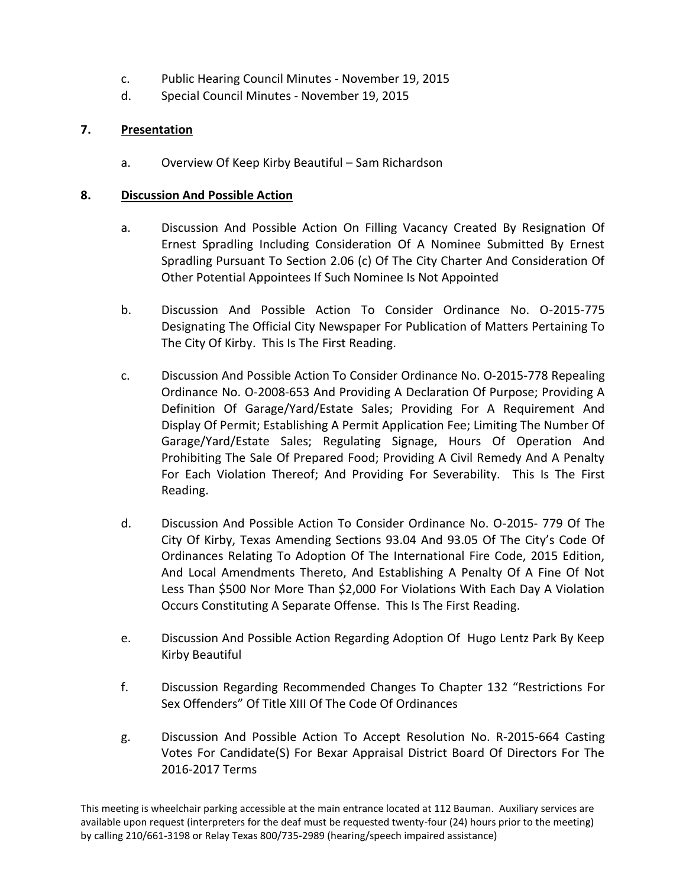- c. Public Hearing Council Minutes November 19, 2015
- d. Special Council Minutes November 19, 2015

# **7. Presentation**

a. Overview Of Keep Kirby Beautiful – Sam Richardson

## **8. Discussion And Possible Action**

- a. Discussion And Possible Action On Filling Vacancy Created By Resignation Of Ernest Spradling Including Consideration Of A Nominee Submitted By Ernest Spradling Pursuant To Section 2.06 (c) Of The City Charter And Consideration Of Other Potential Appointees If Such Nominee Is Not Appointed
- b. Discussion And Possible Action To Consider Ordinance No. O-2015-775 Designating The Official City Newspaper For Publication of Matters Pertaining To The City Of Kirby. This Is The First Reading.
- c. Discussion And Possible Action To Consider Ordinance No. O-2015-778 Repealing Ordinance No. O-2008-653 And Providing A Declaration Of Purpose; Providing A Definition Of Garage/Yard/Estate Sales; Providing For A Requirement And Display Of Permit; Establishing A Permit Application Fee; Limiting The Number Of Garage/Yard/Estate Sales; Regulating Signage, Hours Of Operation And Prohibiting The Sale Of Prepared Food; Providing A Civil Remedy And A Penalty For Each Violation Thereof; And Providing For Severability. This Is The First Reading.
- d. Discussion And Possible Action To Consider Ordinance No. O-2015- 779 Of The City Of Kirby, Texas Amending Sections 93.04 And 93.05 Of The City's Code Of Ordinances Relating To Adoption Of The International Fire Code, 2015 Edition, And Local Amendments Thereto, And Establishing A Penalty Of A Fine Of Not Less Than \$500 Nor More Than \$2,000 For Violations With Each Day A Violation Occurs Constituting A Separate Offense. This Is The First Reading.
- e. Discussion And Possible Action Regarding Adoption Of Hugo Lentz Park By Keep Kirby Beautiful
- f. Discussion Regarding Recommended Changes To Chapter 132 "Restrictions For Sex Offenders" Of Title XIII Of The Code Of Ordinances
- g. Discussion And Possible Action To Accept Resolution No. R-2015-664 Casting Votes For Candidate(S) For Bexar Appraisal District Board Of Directors For The 2016-2017 Terms

This meeting is wheelchair parking accessible at the main entrance located at 112 Bauman. Auxiliary services are available upon request (interpreters for the deaf must be requested twenty-four (24) hours prior to the meeting) by calling 210/661-3198 or Relay Texas 800/735-2989 (hearing/speech impaired assistance)